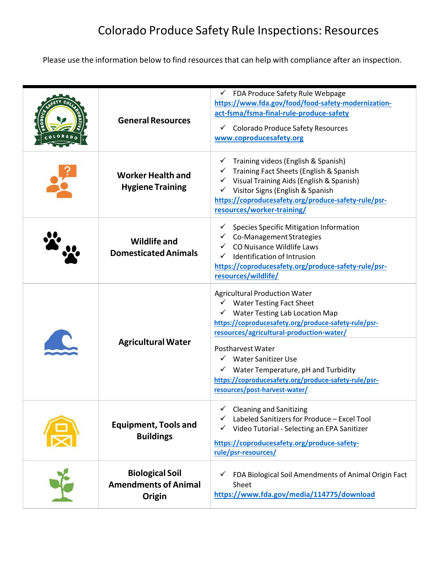## Colorado Produce Safety Rule Inspections: Resources

Please use the information below to find resources that can help with compliance after an inspection.

|  |                                                                                                                                                                                                                                                           | $\checkmark$ FDA Produce Safety Rule Webpage                                          |
|--|-----------------------------------------------------------------------------------------------------------------------------------------------------------------------------------------------------------------------------------------------------------|---------------------------------------------------------------------------------------|
|  |                                                                                                                                                                                                                                                           | https://www.fda.gov/food/food-safety-modernization-                                   |
|  |                                                                                                                                                                                                                                                           | act-fsma/fsma-final-rule-produce-safety                                               |
|  | <b>General Resources</b>                                                                                                                                                                                                                                  |                                                                                       |
|  |                                                                                                                                                                                                                                                           | ← Colorado Produce Safety Resources                                                   |
|  |                                                                                                                                                                                                                                                           | www.coproducesafety.org                                                               |
|  |                                                                                                                                                                                                                                                           | Training videos (English & Spanish)                                                   |
|  |                                                                                                                                                                                                                                                           | Training Fact Sheets (English & Spanish                                               |
|  | <b>Worker Health and</b>                                                                                                                                                                                                                                  | Visual Training Aids (English & Spanish)                                              |
|  | <b>Hygiene Training</b>                                                                                                                                                                                                                                   | Visitor Signs (English & Spanish<br>$\checkmark$                                      |
|  |                                                                                                                                                                                                                                                           | https://coproducesafety.org/produce-safety-rule/psr-                                  |
|  |                                                                                                                                                                                                                                                           | resources/worker-training/                                                            |
|  |                                                                                                                                                                                                                                                           | <b>Species Specific Mitigation Information</b>                                        |
|  | <b>Wildlife and</b>                                                                                                                                                                                                                                       | Co-Management Strategies                                                              |
|  |                                                                                                                                                                                                                                                           | CO Nuisance Wildlife Laws                                                             |
|  | <b>Domesticated Animals</b>                                                                                                                                                                                                                               | Identification of Intrusion                                                           |
|  |                                                                                                                                                                                                                                                           | https://coproducesafety.org/produce-safety-rule/psr-                                  |
|  |                                                                                                                                                                                                                                                           | resources/wildlife/                                                                   |
|  |                                                                                                                                                                                                                                                           | <b>Agricultural Production Water</b>                                                  |
|  | <b>Water Testing Fact Sheet</b><br>$\checkmark$ Water Testing Lab Location Map<br>resources/agricultural-production-water/<br><b>Agricultural Water</b><br>Postharvest Water<br>√ Water Sanitizer Use<br>$\checkmark$ Water Temperature, pH and Turbidity |                                                                                       |
|  |                                                                                                                                                                                                                                                           |                                                                                       |
|  |                                                                                                                                                                                                                                                           | https://coproducesafety.org/produce-safety-rule/psr-                                  |
|  |                                                                                                                                                                                                                                                           |                                                                                       |
|  |                                                                                                                                                                                                                                                           |                                                                                       |
|  |                                                                                                                                                                                                                                                           |                                                                                       |
|  |                                                                                                                                                                                                                                                           |                                                                                       |
|  |                                                                                                                                                                                                                                                           | https://coproducesafety.org/produce-safety-rule/psr-<br>resources/post-harvest-water/ |
|  |                                                                                                                                                                                                                                                           |                                                                                       |
|  |                                                                                                                                                                                                                                                           | <b>Cleaning and Sanitizing</b>                                                        |
|  |                                                                                                                                                                                                                                                           | Labeled Sanitizers for Produce - Excel Tool                                           |
|  | <b>Equipment, Tools and</b>                                                                                                                                                                                                                               | Video Tutorial - Selecting an EPA Sanitizer                                           |
|  | <b>Buildings</b>                                                                                                                                                                                                                                          |                                                                                       |
|  |                                                                                                                                                                                                                                                           | https://coproducesafety.org/produce-safety-<br>rule/psr-resources/                    |
|  |                                                                                                                                                                                                                                                           |                                                                                       |
|  | <b>Biological Soil</b>                                                                                                                                                                                                                                    | FDA Biological Soil Amendments of Animal Origin Fact                                  |
|  | <b>Amendments of Animal</b>                                                                                                                                                                                                                               | Sheet                                                                                 |
|  | Origin                                                                                                                                                                                                                                                    | https://www.fda.gov/media/114775/download                                             |
|  |                                                                                                                                                                                                                                                           |                                                                                       |